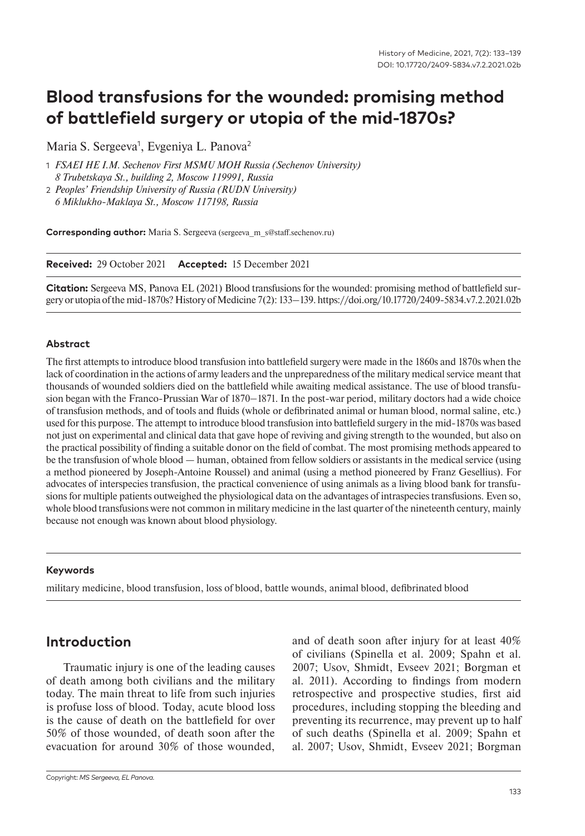# **Blood transfusions for the wounded: promising method of battlefield surgery or utopia of the mid-1870s?**

Maria S. Sergeeva<sup>1</sup>, Evgeniya L. Panova<sup>2</sup>

- 1 *FSAEI HE I.M. Sechenov First MSMU MOH Russia (Sechenov University) 8 Trubetskaya St., building 2, Moscow 119991, Russia*
- 2 *Рeoples' Friendship University of Russia (RUDN University) 6 Miklukho-Maklaya St., Moscow 117198, Russia*

**Corresponding author:** Maria S. Sergeeva (sergeeva\_m\_s@staff.sechenov.ru)

**Received:** 29 October 2021 **Accepted:** 15 December 2021

**Citation:** Sergeeva MS, Panova EL (2021) Blood transfusions for the wounded: promising method of battlefield surgery or utopia of the mid-1870s? History of Medicine 7(2): 133–139. https://doi.org/10.17720/2409-5834.v7.2.2021.02b

#### **Abstract**

The first attempts to introduce blood transfusion into battlefield surgery were made in the 1860s and 1870s when the lack of coordination in the actions of army leaders and the unpreparedness of the military medical service meant that thousands of wounded soldiers died on the battlefield while awaiting medical assistance. The use of blood transfusion began with the Franco-Prussian War of 1870–1871. In the post-war period, military doctors had a wide choice of transfusion methods, and of tools and fluids (whole or defibrinated animal or human blood, normal saline, etc.) used for this purpose. The attempt to introduce blood transfusion into battlefield surgery in the mid-1870s was based not just on experimental and clinical data that gave hope of reviving and giving strength to the wounded, but also on the practical possibility of finding a suitable donor on the field of combat. The most promising methods appeared to be the transfusion of whole blood — human, obtained from fellow soldiers or assistants in the medical service (using a method pioneered by Joseph-Antoine Roussel) and animal (using a method pioneered by Franz Gesellius). For advocates of interspecies transfusion, the practical convenience of using animals as a living blood bank for transfusions for multiple patients outweighed the physiological data on the advantages of intraspecies transfusions. Even so, whole blood transfusions were not common in military medicine in the last quarter of the nineteenth century, mainly because not enough was known about blood physiology.

#### **Keywords**

military medicine, blood transfusion, loss of blood, battle wounds, animal blood, defibrinated blood

#### **Introduction**

Traumatic injury is one of the leading causes of death among both civilians and the military today. The main threat to life from such injuries is profuse loss of blood. Today, acute blood loss is the cause of death on the battlefield for over 50% of those wounded, of death soon after the evacuation for around 30% of those wounded,

and of death soon after injury for at least 40% of civilians (Spinella et al. 2009; Spahn et al. 2007; Usov, Shmidt, Evseev 2021; Borgman et al. 2011). According to findings from modern retrospective and prospective studies, first aid procedures, including stopping the bleeding and preventing its recurrence, may prevent up to half of such deaths (Spinella et al. 2009; Spahn et al. 2007; Usov, Shmidt, Evseev 2021; Borgman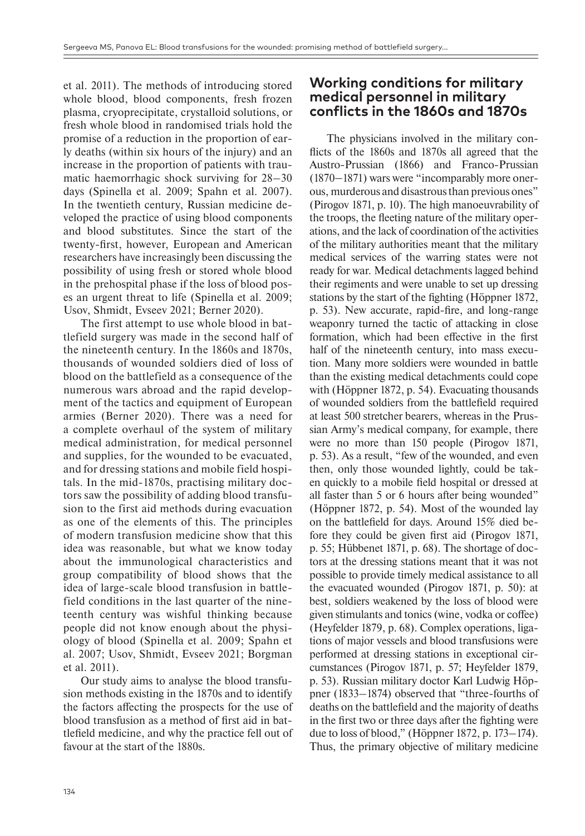et al. 2011). The methods of introducing stored whole blood, blood components, fresh frozen plasma, cryoprecipitate, crystalloid solutions, or fresh whole blood in randomised trials hold the promise of a reduction in the proportion of early deaths (within six hours of the injury) and an increase in the proportion of patients with traumatic haemorrhagic shock surviving for 28–30 days (Spinella et al. 2009; Spahn et al. 2007). In the twentieth century, Russian medicine developed the practice of using blood components and blood substitutes. Since the start of the twenty-first, however, European and American researchers have increasingly been discussing the possibility of using fresh or stored whole blood in the prehospital phase if the loss of blood poses an urgent threat to life (Spinella et al. 2009; Usov, Shmidt, Evseev 2021; Berner 2020).

The first attempt to use whole blood in battlefield surgery was made in the second half of the nineteenth century. In the 1860s and 1870s, thousands of wounded soldiers died of loss of blood on the battlefield as a consequence of the numerous wars abroad and the rapid development of the tactics and equipment of European armies (Berner 2020). There was a need for a complete overhaul of the system of military medical administration, for medical personnel and supplies, for the wounded to be evacuated, and for dressing stations and mobile field hospitals. In the mid-1870s, practising military doctors saw the possibility of adding blood transfusion to the first aid methods during evacuation as one of the elements of this. The principles of modern transfusion medicine show that this idea was reasonable, but what we know today about the immunological characteristics and group compatibility of blood shows that the idea of large-scale blood transfusion in battlefield conditions in the last quarter of the nineteenth century was wishful thinking because people did not know enough about the physiology of blood (Spinella et al. 2009; Spahn et al. 2007; Usov, Shmidt, Evseev 2021; Borgman et al. 2011).

Our study aims to analyse the blood transfusion methods existing in the 1870s and to identify the factors affecting the prospects for the use of blood transfusion as a method of first aid in battlefield medicine, and why the practice fell out of favour at the start of the 1880s.

#### **Working conditions for military medical personnel in military conflicts in the 1860s and 1870s**

The physicians involved in the military conflicts of the 1860s and 1870s all agreed that the Austro-Prussian (1866) and Franco-Prussian (1870–1871) wars were "incomparably more onerous, murderous and disastrous than previous ones" (Pirogov 1871, p. 10). The high manoeuvrability of the troops, the fleeting nature of the military operations, and the lack of coordination of the activities of the military authorities meant that the military medical services of the warring states were not ready for war. Medical detachments lagged behind their regiments and were unable to set up dressing stations by the start of the fighting (Höppner 1872, p. 53). New accurate, rapid-fire, and long-range weaponry turned the tactic of attacking in close formation, which had been effective in the first half of the nineteenth century, into mass execution. Many more soldiers were wounded in battle than the existing medical detachments could cope with (Höppner 1872, p. 54). Evacuating thousands of wounded soldiers from the battlefield required at least 500 stretcher bearers, whereas in the Prussian Army's medical company, for example, there were no more than 150 people (Pirogov 1871, p. 53). As a result, "few of the wounded, and even then, only those wounded lightly, could be taken quickly to a mobile field hospital or dressed at all faster than 5 or 6 hours after being wounded" (Höppner 1872, p. 54). Most of the wounded lay on the battlefield for days. Around 15% died before they could be given first aid (Pirogov 1871, p. 55; Hübbenet 1871, p. 68). The shortage of doctors at the dressing stations meant that it was not possible to provide timely medical assistance to all the evacuated wounded (Pirogov 1871, p. 50): at best, soldiers weakened by the loss of blood were given stimulants and tonics (wine, vodka or coffee) (Heyfelder 1879, p. 68). Complex operations, ligations of major vessels and blood transfusions were performed at dressing stations in exceptional circumstances (Pirogov 1871, p. 57; Heyfelder 1879, p. 53). Russian military doctor Karl Ludwig Höppner (1833–1874) observed that "three-fourths of deaths on the battlefield and the majority of deaths in the first two or three days after the fighting were due to loss of blood," (Höppner 1872, p. 173–174). Thus, the primary objective of military medicine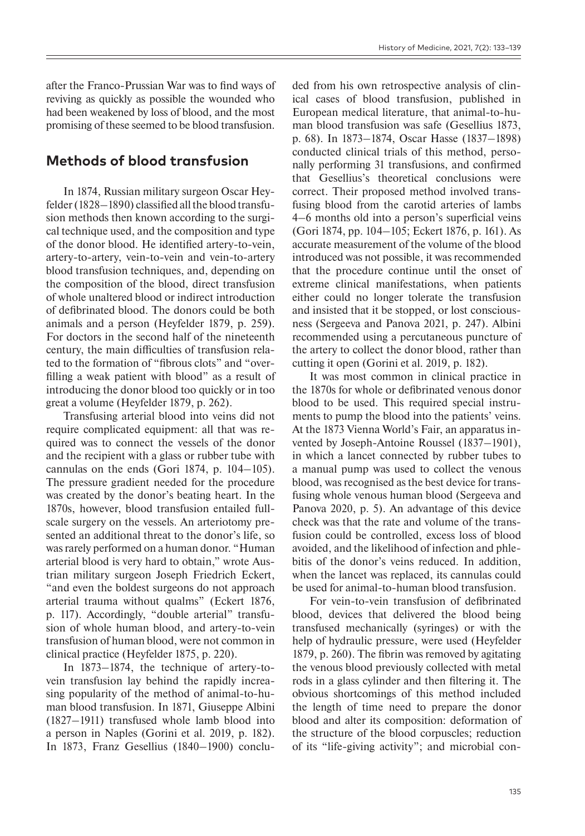after the Franco-Prussian War was to find ways of reviving as quickly as possible the wounded who had been weakened by loss of blood, and the most promising of these seemed to be blood transfusion.

### **Methods of blood transfusion**

In 1874, Russian military surgeon Oscar Heyfelder (1828–1890) classified all the blood transfusion methods then known according to the surgical technique used, and the composition and type of the donor blood. He identified artery-to-vein, artery-to-artery, vein-to-vein and vein-to-artery blood transfusion techniques, and, depending on the composition of the blood, direct transfusion of whole unaltered blood or indirect introduction of defibrinated blood. The donors could be both animals and a person (Heyfelder 1879, p. 259). For doctors in the second half of the nineteenth century, the main difficulties of transfusion related to the formation of "fibrous clots" and "overfilling a weak patient with blood" as a result of introducing the donor blood too quickly or in too great a volume (Heyfelder 1879, p. 262).

Transfusing arterial blood into veins did not require complicated equipment: all that was required was to connect the vessels of the donor and the recipient with a glass or rubber tube with cannulas on the ends (Gori 1874, p. 104–105). The pressure gradient needed for the procedure was created by the donor's beating heart. In the 1870s, however, blood transfusion entailed fullscale surgery on the vessels. An arteriotomy presented an additional threat to the donor's life, so was rarely performed on a human donor. "Human arterial blood is very hard to obtain," wrote Austrian military surgeon Joseph Friedrich Eckert, "and even the boldest surgeons do not approach arterial trauma without qualms" (Eckert 1876, p. 117). Accordingly, "double arterial" transfusion of whole human blood, and artery-to-vein transfusion of human blood, were not common in clinical practice (Heyfelder 1875, p. 220).

In 1873–1874, the technique of artery-tovein transfusion lay behind the rapidly increasing popularity of the method of animal-to-human blood transfusion. In 1871, Giuseppe Albini (1827–1911) transfused whole lamb blood into a person in Naples (Gorini et al. 2019, p. 182). In 1873, Franz Gesellius (1840–1900) concluded from his own retrospective analysis of clinical cases of blood transfusion, published in European medical literature, that animal-to-human blood transfusion was safe (Gesellius 1873, p. 68). In 1873–1874, Oscar Hasse (1837–1898) conducted clinical trials of this method, personally performing 31 transfusions, and confirmed that Gesellius's theoretical conclusions were correct. Their proposed method involved transfusing blood from the carotid arteries of lambs 4–6 months old into a person's superficial veins (Gori 1874, pp. 104–105; Eckert 1876, p. 161). As accurate measurement of the volume of the blood introduced was not possible, it was recommended that the procedure continue until the onset of extreme clinical manifestations, when patients either could no longer tolerate the transfusion and insisted that it be stopped, or lost consciousness (Sergeeva and Panova 2021, p. 247). Albini recommended using a percutaneous puncture of the artery to collect the donor blood, rather than cutting it open (Gorini et al. 2019, p. 182).

It was most common in clinical practice in the 1870s for whole or defibrinated venous donor blood to be used. This required special instruments to pump the blood into the patients' veins. At the 1873 Vienna World's Fair, an apparatus invented by Joseph-Antoine Roussel (1837–1901), in which a lancet connected by rubber tubes to a manual pump was used to collect the venous blood, was recognised as the best device for transfusing whole venous human blood (Sergeeva and Panova 2020, p. 5). An advantage of this device check was that the rate and volume of the transfusion could be controlled, excess loss of blood avoided, and the likelihood of infection and phlebitis of the donor's veins reduced. In addition, when the lancet was replaced, its cannulas could be used for animal-to-human blood transfusion.

For vein-to-vein transfusion of defibrinated blood, devices that delivered the blood being transfused mechanically (syringes) or with the help of hydraulic pressure, were used (Heyfelder 1879, p. 260). The fibrin was removed by agitating the venous blood previously collected with metal rods in a glass cylinder and then filtering it. The obvious shortcomings of this method included the length of time need to prepare the donor blood and alter its composition: deformation of the structure of the blood corpuscles; reduction of its "life-giving activity"; and microbial con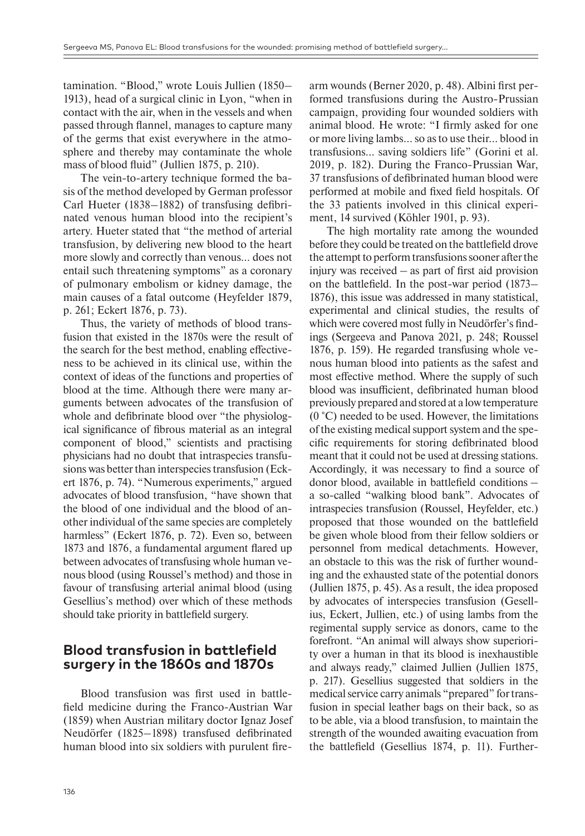tamination. "Blood," wrote Louis Jullien (1850– 1913), head of a surgical clinic in Lyon, "when in contact with the air, when in the vessels and when passed through flannel, manages to capture many of the germs that exist everywhere in the atmosphere and thereby may contaminate the whole mass of blood fluid" (Jullien 1875, p. 210).

The vein-to-artery technique formed the basis of the method developed by German professor Carl Hueter (1838–1882) of transfusing defibrinated venous human blood into the recipient's artery. Hueter stated that "the method of arterial transfusion, by delivering new blood to the heart more slowly and correctly than venous… does not entail such threatening symptoms" as a coronary of pulmonary embolism or kidney damage, the main causes of a fatal outcome (Heyfelder 1879, p. 261; Eckert 1876, p. 73).

Thus, the variety of methods of blood transfusion that existed in the 1870s were the result of the search for the best method, enabling effectiveness to be achieved in its clinical use, within the context of ideas of the functions and properties of blood at the time. Although there were many arguments between advocates of the transfusion of whole and defibrinate blood over "the physiological significance of fibrous material as an integral component of blood," scientists and practising physicians had no doubt that intraspecies transfusions was better than interspecies transfusion (Eckert 1876, p. 74). "Numerous experiments," argued advocates of blood transfusion, "have shown that the blood of one individual and the blood of another individual of the same species are completely harmless" (Eckert 1876, p. 72). Even so, between 1873 and 1876, a fundamental argument flared up between advocates of transfusing whole human venous blood (using Roussel's method) and those in favour of transfusing arterial animal blood (using Gesellius's method) over which of these methods should take priority in battlefield surgery.

#### **Blood transfusion in battlefield surgery in the 1860s and 1870s**

Blood transfusion was first used in battlefield medicine during the Franco-Austrian War (1859) when Austrian military doctor Ignaz Josef Neudörfer (1825–1898) transfused defibrinated human blood into six soldiers with purulent firearm wounds (Berner 2020, p. 48). Albini first performed transfusions during the Austro-Prussian campaign, providing four wounded soldiers with animal blood. He wrote: "I firmly asked for one or more living lambs… so as to use their… blood in transfusions… saving soldiers life" (Gorini et al. 2019, p. 182). During the Franco-Prussian War, 37 transfusions of defibrinated human blood were performed at mobile and fixed field hospitals. Of the 33 patients involved in this clinical experiment, 14 survived (Köhler 1901, p. 93).

The high mortality rate among the wounded before they could be treated on the battlefield drove the attempt to perform transfusions sooner after the injury was received – as part of first aid provision on the battlefield. In the post-war period (1873– 1876), this issue was addressed in many statistical, experimental and clinical studies, the results of which were covered most fully in Neudörfer's findings (Sergeeva and Panova 2021, p. 248; Roussel 1876, p. 159). He regarded transfusing whole venous human blood into patients as the safest and most effective method. Where the supply of such blood was insufficient, defibrinated human blood previously prepared and stored at a low temperature (0 °C) needed to be used. However, the limitations of the existing medical support system and the specific requirements for storing defibrinated blood meant that it could not be used at dressing stations. Accordingly, it was necessary to find a source of donor blood, available in battlefield conditions – a so-called "walking blood bank". Advocates of intraspecies transfusion (Roussel, Heyfelder, etc.) proposed that those wounded on the battlefield be given whole blood from their fellow soldiers or personnel from medical detachments. However, an obstacle to this was the risk of further wounding and the exhausted state of the potential donors (Jullien 1875, p. 45). As a result, the idea proposed by advocates of interspecies transfusion (Gesellius, Eckert, Jullien, etc.) of using lambs from the regimental supply service as donors, came to the forefront. "An animal will always show superiority over a human in that its blood is inexhaustible and always ready," claimed Jullien (Jullien 1875, p. 217). Gesellius suggested that soldiers in the medical service carry animals "prepared" for transfusion in special leather bags on their back, so as to be able, via a blood transfusion, to maintain the strength of the wounded awaiting evacuation from the battlefield (Gesellius 1874, p. 11). Further-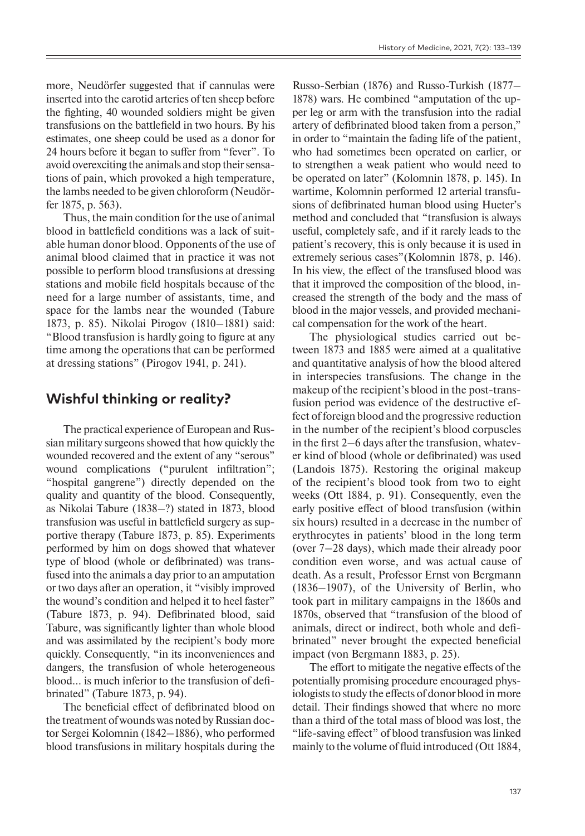more, Neudörfer suggested that if cannulas were inserted into the carotid arteries of ten sheep before the fighting, 40 wounded soldiers might be given transfusions on the battlefield in two hours. By his estimates, one sheep could be used as a donor for 24 hours before it began to suffer from "fever". To avoid overexciting the animals and stop their sensations of pain, which provoked a high temperature, the lambs needed to be given chloroform (Neudörfer 1875, p. 563).

Thus, the main condition for the use of animal blood in battlefield conditions was a lack of suitable human donor blood. Opponents of the use of animal blood claimed that in practice it was not possible to perform blood transfusions at dressing stations and mobile field hospitals because of the need for a large number of assistants, time, and space for the lambs near the wounded (Tabure 1873, p. 85). Nikolai Pirogov (1810–1881) said: "Blood transfusion is hardly going to figure at any time among the operations that can be performed at dressing stations" (Pirogov 1941, p. 241).

### **Wishful thinking or reality?**

The practical experience of European and Russian military surgeons showed that how quickly the wounded recovered and the extent of any "serous" wound complications ("purulent infiltration"; "hospital gangrene") directly depended on the quality and quantity of the blood. Consequently, as Nikolai Tabure (1838–?) stated in 1873, blood transfusion was useful in battlefield surgery as supportive therapy (Tabure 1873, p. 85). Experiments performed by him on dogs showed that whatever type of blood (whole or defibrinated) was transfused into the animals a day prior to an amputation or two days after an operation, it "visibly improved the wound's condition and helped it to heel faster" (Tabure 1873, p. 94). Defibrinated blood, said Tabure, was significantly lighter than whole blood and was assimilated by the recipient's body more quickly. Consequently, "in its inconveniences and dangers, the transfusion of whole heterogeneous blood… is much inferior to the transfusion of defibrinated" (Tabure 1873, p. 94).

The beneficial effect of defibrinated blood on the treatment of wounds was noted by Russian doctor Sergei Kolomnin (1842–1886), who performed blood transfusions in military hospitals during the

Russo-Serbian (1876) and Russo-Turkish (1877– 1878) wars. He combined "amputation of the upper leg or arm with the transfusion into the radial artery of defibrinated blood taken from a person," in order to "maintain the fading life of the patient, who had sometimes been operated on earlier, or to strengthen a weak patient who would need to be operated on later" (Kolomnin 1878, p. 145). In wartime, Kolomnin performed 12 arterial transfusions of defibrinated human blood using Hueter's method and concluded that "transfusion is always useful, completely safe, and if it rarely leads to the patient's recovery, this is only because it is used in extremely serious cases"(Kolomnin 1878, p. 146). In his view, the effect of the transfused blood was that it improved the composition of the blood, increased the strength of the body and the mass of blood in the major vessels, and provided mechanical compensation for the work of the heart.

The physiological studies carried out between 1873 and 1885 were aimed at a qualitative and quantitative analysis of how the blood altered in interspecies transfusions. The change in the makeup of the recipient's blood in the post-transfusion period was evidence of the destructive effect of foreign blood and the progressive reduction in the number of the recipient's blood corpuscles in the first 2–6 days after the transfusion, whatever kind of blood (whole or defibrinated) was used (Landois 1875). Restoring the original makeup of the recipient's blood took from two to eight weeks (Ott 1884, p. 91). Consequently, even the early positive effect of blood transfusion (within six hours) resulted in a decrease in the number of erythrocytes in patients' blood in the long term (over 7–28 days), which made their already poor condition even worse, and was actual cause of death. As a result, Professor Ernst von Bergmann (1836–1907), of the University of Berlin, who took part in military campaigns in the 1860s and 1870s, observed that "transfusion of the blood of animals, direct or indirect, both whole and defibrinated" never brought the expected beneficial impact (von Bergmann 1883, p. 25).

The effort to mitigate the negative effects of the potentially promising procedure encouraged physiologists to study the effects of donor blood in more detail. Their findings showed that where no more than a third of the total mass of blood was lost, the "life-saving effect" of blood transfusion was linked mainly to the volume of fluid introduced (Ott 1884,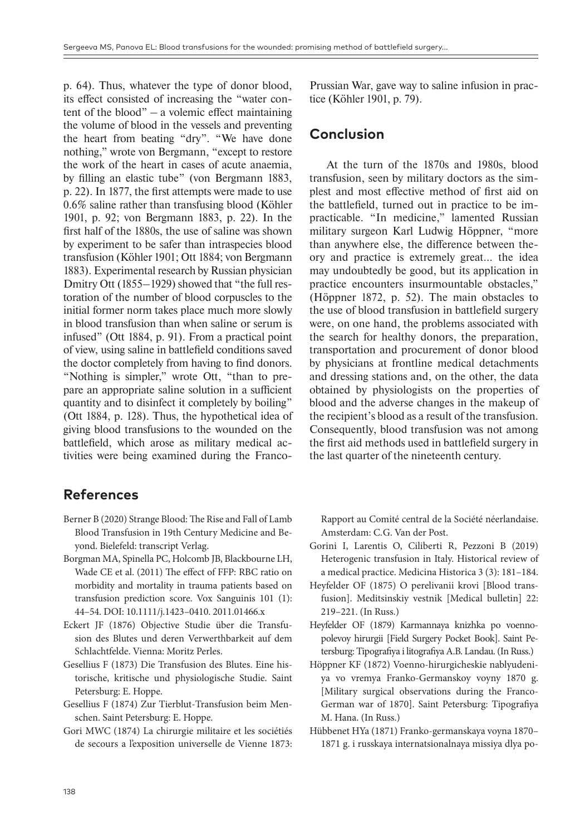p. 64). Thus, whatever the type of donor blood, its effect consisted of increasing the "water content of the blood" – a volemic effect maintaining the volume of blood in the vessels and preventing the heart from beating "dry". "We have done nothing," wrote von Bergmann, "except to restore the work of the heart in cases of acute anaemia, by filling an elastic tube" (von Bergmann 1883, p. 22). In 1877, the first attempts were made to use 0.6% saline rather than transfusing blood (Köhler 1901, p. 92; von Bergmann 1883, p. 22). In the first half of the 1880s, the use of saline was shown by experiment to be safer than intraspecies blood transfusion (Köhler 1901; Ott 1884; von Bergmann 1883). Experimental research by Russian physician Dmitry Ott (1855–1929) showed that "the full restoration of the number of blood corpuscles to the initial former norm takes place much more slowly in blood transfusion than when saline or serum is infused" (Ott 1884, p. 91). From a practical point of view, using saline in battlefield conditions saved the doctor completely from having to find donors. "Nothing is simpler," wrote Ott, "than to prepare an appropriate saline solution in a sufficient quantity and to disinfect it completely by boiling" (Ott 1884, p. 128). Thus, the hypothetical idea of giving blood transfusions to the wounded on the battlefield, which arose as military medical activities were being examined during the FrancoPrussian War, gave way to saline infusion in practice (Köhler 1901, p. 79).

#### **Conclusion**

At the turn of the 1870s and 1980s, blood transfusion, seen by military doctors as the simplest and most effective method of first aid on the battlefield, turned out in practice to be impracticable. "In medicine," lamented Russian military surgeon Karl Ludwig Höppner, "more than anywhere else, the difference between theory and practice is extremely great… the idea may undoubtedly be good, but its application in practice encounters insurmountable obstacles," (Höppner 1872, p. 52). The main obstacles to the use of blood transfusion in battlefield surgery were, on one hand, the problems associated with the search for healthy donors, the preparation, transportation and procurement of donor blood by physicians at frontline medical detachments and dressing stations and, on the other, the data obtained by physiologists on the properties of blood and the adverse changes in the makeup of the recipient's blood as a result of the transfusion. Consequently, blood transfusion was not among the first aid methods used in battlefield surgery in the last quarter of the nineteenth century.

#### **References**

- Berner B (2020) Strange Blood: The Rise and Fall of Lamb Blood Transfusion in 19th Century Medicine and Beyond. Bielefeld: transcript Verlag.
- Borgman MA, Spinella PC, Holcomb JB, Blackbourne LH, Wade CE et al. (2011) The effect of FFP: RBC ratio on morbidity and mortality in trauma patients based on transfusion prediction score. Vox Sanguinis 101 (1): 44–54. DOI: 10.1111/j.1423–0410. 2011.01466.x
- Eckert JF (1876) Objective Studie über die Transfusion des Blutes und deren Verwerthbarkeit auf dem Schlachtfelde. Vienna: Moritz Perles.
- Gesellius F (1873) Die Transfusion des Blutes. Eine historische, kritische und physiologische Studie. Saint Petersburg: E. Hoppe.
- Gesellius F (1874) Zur Tierblut-Transfusion beim Menschen. Saint Petersburg: E. Hoppe.
- Gori MWC (1874) La chirurgie militaire et les sociétiés de secours a l'exposition universelle de Vienne 1873:

Rapport au Comité central de la Société néerlandaise. Amsterdam: C.G. Van der Post.

- Gorini I, Larentis O, Ciliberti R, Pezzoni B (2019) Heterogenic transfusion in Italy. Historical review of a medical practice. Medicina Historica 3 (3): 181–184.
- Heyfelder OF (1875) O perelivanii krovi [Blood transfusion]. Meditsinskiy vestnik [Medical bulletin] 22: 219–221. (In Russ.)
- Heyfelder OF (1879) Karmannaya knizhka po voennopolevoy hirurgii [Field Surgery Pocket Book]. Saint Petersburg: Tipografiya i litografiya A.B. Landau. (In Russ.)
- Höppner KF (1872) Voenno-hirurgicheskie nablyudeniya vo vremya Franko-Germanskoy voyny 1870 g. [Military surgical observations during the Franco-German war of 1870]. Saint Petersburg: Tipografiya M. Hana. (In Russ.)
- Hübbenet HYa (1871) Franko-germanskaya voyna 1870– 1871 g. i russkaya internatsionalnaya missiya dlya po-